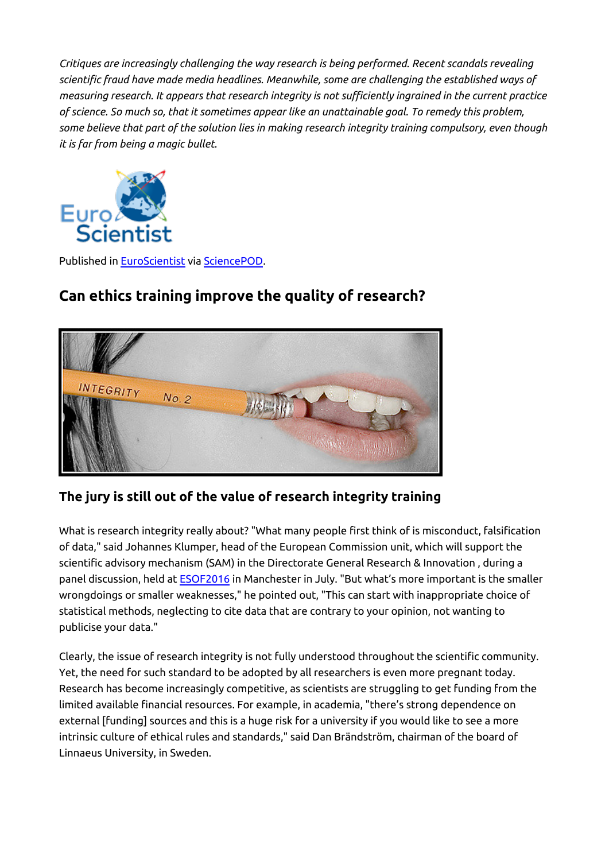*Critiques are increasingly challenging the way research is being performed. Recent scandals revealing scientific fraud have made media headlines. Meanwhile, some are challenging the established ways of measuring research. It appears that research integrity is not sufficiently ingrained in the current practice of science. So much so, that it sometimes appear like an unattainable goal. To remedy this problem, some believe that part of the solution lies in making research integrity training compulsory, even though it is far from being a magic bullet.*



Published in [EuroScientist](http://www.euroscientist.com/can-ethics-training-improve-quality-research) via [SciencePOD](http://www.sciencepod.net).



# **Can ethics training improve the quality of research?**

#### **The jury is still out of the value of research integrity training**

What is research integrity really about? "What many people first think of is misconduct, falsification of data," said Johannes Klumper, head of the European Commission unit, which will support the scientific advisory mechanism (SAM) in the Directorate General Research & Innovation , during a panel discussion, held at [ESOF2016](http://www.euroscientist.com/esof2016-special-issue/) in Manchester in July. "But what's more important is the smaller wrongdoings or smaller weaknesses," he pointed out, "This can start with inappropriate choice of statistical methods, neglecting to cite data that are contrary to your opinion, not wanting to publicise your data."

Clearly, the issue of research integrity is not fully understood throughout the scientific community. Yet, the need for such standard to be adopted by all researchers is even more pregnant today. Research has become increasingly competitive, as scientists are struggling to get funding from the limited available financial resources. For example, in academia, "there's strong dependence on external [funding] sources and this is a huge risk for a university if you would like to see a more intrinsic culture of ethical rules and standards," said Dan Brändström, chairman of the board of Linnaeus University, in Sweden.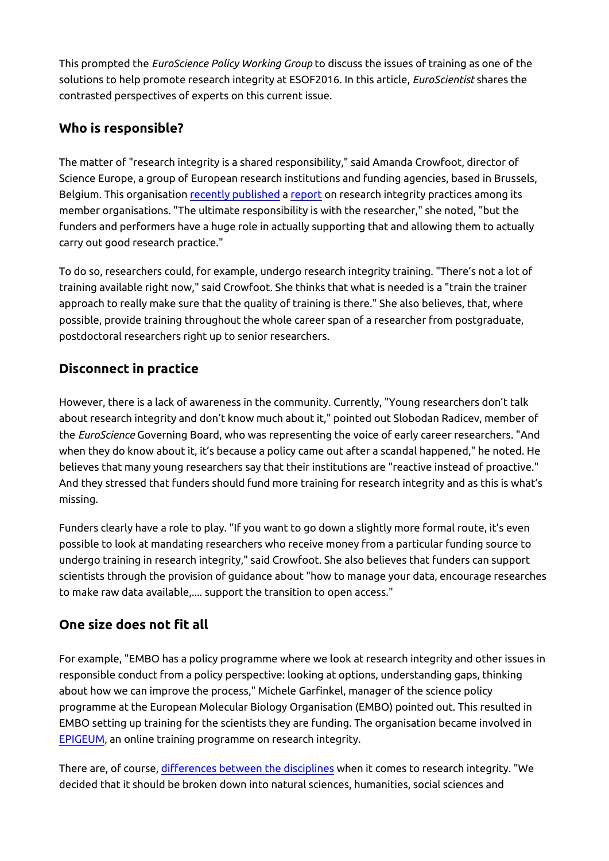This prompted the *EuroScience Policy Working Group* to discuss the issues of training as one of the solutions to help promote research integrity at ESOF2016. In this article, *EuroScientist* shares the contrasted perspectives of experts on this current issue.

## **Who is responsible?**

The matter of "research integrity is a shared responsibility," said Amanda Crowfoot, director of Science Europe, a group of European research institutions and funding agencies, based in Brussels, Belgium. This organisation [recently published](http://www.euroscientist.com/shaping-tomorrows-research-integrity) a [report](http://www.scienceeurope.org/uploads/PublicDocumentsAndSpeeches/SCsPublicDocs/Science%20_Europe_Integrity_Survey_Report_July_2016_FINAL.pdf) on research integrity practices among its member organisations. "The ultimate responsibility is with the researcher," she noted, "but the funders and performers have a huge role in actually supporting that and allowing them to actually carry out good research practice."

To do so, researchers could, for example, undergo research integrity training. "There's not a lot of training available right now," said Crowfoot. She thinks that what is needed is a "train the trainer approach to really make sure that the quality of training is there." She also believes, that, where possible, provide training throughout the whole career span of a researcher from postgraduate, postdoctoral researchers right up to senior researchers.

## **Disconnect in practice**

However, there is a lack of awareness in the community. Currently, "Young researchers don't talk about research integrity and don't know much about it," pointed out Slobodan Radicev, member of the *EuroScience* Governing Board, who was representing the voice of early career researchers. "And when they do know about it, it's because a policy came out after a scandal happened," he noted. He believes that many young researchers say that their institutions are "reactive instead of proactive." And they stressed that funders should fund more training for research integrity and as this is what's missing.

Funders clearly have a role to play. "If you want to go down a slightly more formal route, it's even possible to look at mandating researchers who receive money from a particular funding source to undergo training in research integrity," said Crowfoot. She also believes that funders can support scientists through the provision of guidance about "how to manage your data, encourage researches to make raw data available,.... support the transition to open access."

## **One size does not fit all**

For example, "EMBO has a policy programme where we look at research integrity and other issues in responsible conduct from a policy perspective: looking at options, understanding gaps, thinking about how we can improve the process," Michele Garfinkel, manager of the science policy programme at the European Molecular Biology Organisation (EMBO) pointed out. This resulted in EMBO setting up training for the scientists they are funding. The organisation became involved in [EPIGEUM](http://www.epigeum.com), an online training programme on research integrity.

There are, of course, [differences between the disciplines](http://www.euroscientist.com/navigating-ssh-research-integrity-straits-between-scylla-and-charybdis) when it comes to research integrity. "We decided that it should be broken down into natural sciences, humanities, social sciences and